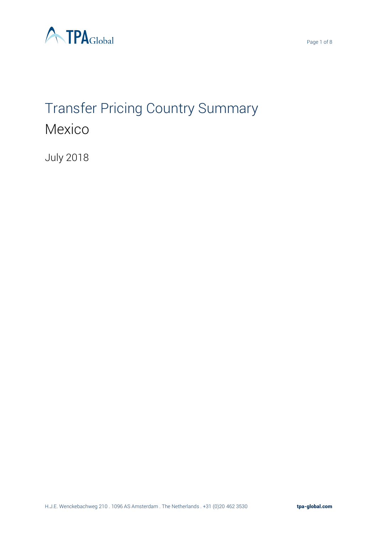

# Transfer Pricing Country Summary Mexico

July 2018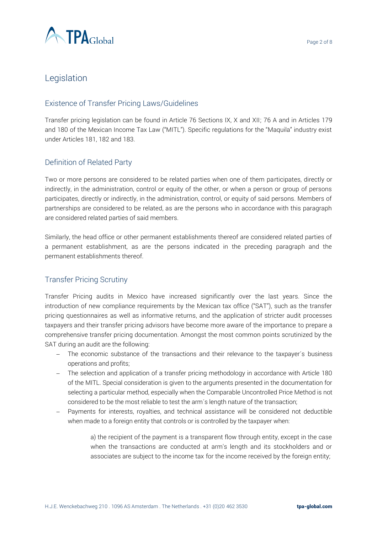

## Legislation

#### Existence of Transfer Pricing Laws/Guidelines

Transfer pricing legislation can be found in Article 76 Sections IX, X and XII; 76 A and in Articles 179 and 180 of the Mexican Income Tax Law ("MITL"). Specific regulations for the "Maquila" industry exist under Articles 181, 182 and 183.

#### Definition of Related Party

Two or more persons are considered to be related parties when one of them participates, directly or indirectly, in the administration, control or equity of the other, or when a person or group of persons participates, directly or indirectly, in the administration, control, or equity of said persons. Members of partnerships are considered to be related, as are the persons who in accordance with this paragraph are considered related parties of said members.

Similarly, the head office or other permanent establishments thereof are considered related parties of a permanent establishment, as are the persons indicated in the preceding paragraph and the permanent establishments thereof.

#### Transfer Pricing Scrutiny

Transfer Pricing audits in Mexico have increased significantly over the last years. Since the introduction of new compliance requirements by the Mexican tax office ("SAT"), such as the transfer pricing questionnaires as well as informative returns, and the application of stricter audit processes taxpayers and their transfer pricing advisors have become more aware of the importance to prepare a comprehensive transfer pricing documentation. Amongst the most common points scrutinized by the SAT during an audit are the following:

- − The economic substance of the transactions and their relevance to the taxpayer´s business operations and profits;
- − The selection and application of a transfer pricing methodology in accordance with Article 180 of the MITL. Special consideration is given to the arguments presented in the documentation for selecting a particular method, especially when the Comparable Uncontrolled Price Method is not considered to be the most reliable to test the arm´s length nature of the transaction;
- − Payments for interests, royalties, and technical assistance will be considered not deductible when made to a foreign entity that controls or is controlled by the taxpayer when:

a) the recipient of the payment is a transparent flow through entity, except in the case when the transactions are conducted at arm's length and its stockholders and or associates are subject to the income tax for the income received by the foreign entity;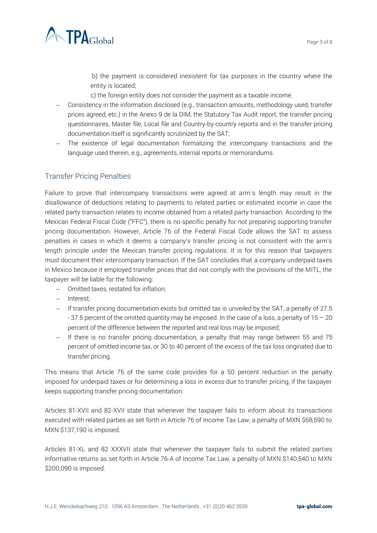

b) the payment is considered inexistent for tax purposes in the country where the entity is located;

c) the foreign entity does not consider the payment as a taxable income.

- − Consistency in the information disclosed (e.g., transaction amounts, methodology used, transfer prices agreed, etc.) in the Anexo 9 de la DIM, the Statutory Tax Audit report, the transfer pricing questionnaires, Master file, Local file and Country-by-country reports and in the transfer pricing documentation itself is significantly scrutinized by the SAT;
- − The existence of legal documentation formalizing the intercompany transactions and the language used therein, e.g., agreements, internal reports or memorandums.

#### Transfer Pricing Penalties

Failure to prove that intercompany transactions were agreed at arm´s length may result in the disallowance of deductions relating to payments to related parties or estimated income in case the related party transaction relates to income obtained from a related party transaction. According to the Mexican Federal Fiscal Code ("FFC"), there is no specific penalty for not preparing supporting transfer pricing documentation. However, Article 76 of the Federal Fiscal Code allows the SAT to assess penalties in cases in which it deems a company's transfer pricing is not consistent with the arm's length principle under the Mexican transfer pricing regulations. It is for this reason that taxpayers must document their intercompany transaction. If the SAT concludes that a company underpaid taxes in Mexico because it employed transfer prices that did not comply with the provisions of the MITL, the taxpayer will be liable for the following:

- − Omitted taxes, restated for inflation;
- − Interest;
- − If transfer pricing documentation exists but omitted tax is unveiled by the SAT, a penalty of 27.5 - 37.5 percent of the omitted quantity may be imposed. In the case of a loss, a penalty of 15 – 20 percent of the difference between the reported and real loss may be imposed;
- − If there is no transfer pricing documentation, a penalty that may range between 55 and 75 percent of omitted income tax, or 30 to 40 percent of the excess of the tax loss originated due to transfer pricing.

This means that Article 76 of the same code provides for a 50 percent reduction in the penalty imposed for underpaid taxes or for determining a loss in excess due to transfer pricing, if the taxpayer keeps supporting transfer pricing documentation.

Articles 81-XVII and 82-XVII state that whenever the taxpayer fails to inform about its transactions executed with related parties as set forth in Article 76 of Income Tax Law, a penalty of MXN \$68,590 to MXN \$137,190 is imposed.

Articles 81-XL and 82 XXXVII state that whenever the taxpayer fails to submit the related parties informative returns as set forth in Article 76-A of Income Tax Law, a penalty of MXN \$140,540 to MXN \$200,090 is imposed.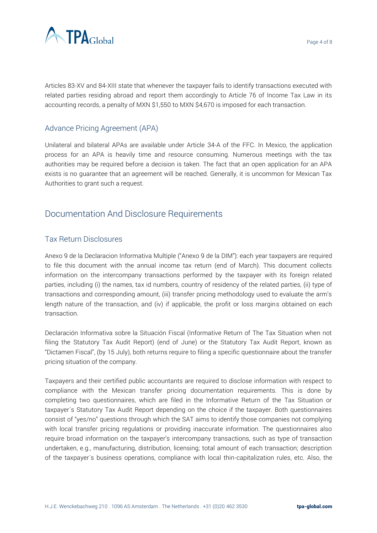

Articles 83-XV and 84-XIII state that whenever the taxpayer fails to identify transactions executed with related parties residing abroad and report them accordingly to Article 76 of Income Tax Law in its accounting records, a penalty of MXN \$1,550 to MXN \$4,670 is imposed for each transaction.

#### Advance Pricing Agreement (APA)

Unilateral and bilateral APAs are available under Article 34-A of the FFC. In Mexico, the application process for an APA is heavily time and resource consuming. Numerous meetings with the tax authorities may be required before a decision is taken. The fact that an open application for an APA exists is no guarantee that an agreement will be reached. Generally, it is uncommon for Mexican Tax Authorities to grant such a request.

## Documentation And Disclosure Requirements

#### Tax Return Disclosures

Anexo 9 de la Declaracion Informativa Multiple ("Anexo 9 de la DIM"): each year taxpayers are required to file this document with the annual income tax return (end of March). This document collects information on the intercompany transactions performed by the taxpayer with its foreign related parties, including (i) the names, tax id numbers, country of residency of the related parties, (ii) type of transactions and corresponding amount, (iii) transfer pricing methodology used to evaluate the arm's length nature of the transaction, and (iv) if applicable, the profit or loss margins obtained on each transaction.

Declaración Informativa sobre la Situación Fiscal (Informative Return of The Tax Situation when not filing the Statutory Tax Audit Report) (end of June) or the Statutory Tax Audit Report, known as "Dictamen Fiscal", (by 15 July), both returns require to filing a specific questionnaire about the transfer pricing situation of the company.

Taxpayers and their certified public accountants are required to disclose information with respect to compliance with the Mexican transfer pricing documentation requirements. This is done by completing two questionnaires, which are filed in the Informative Return of the Tax Situation or taxpayer´s Statutory Tax Audit Report depending on the choice if the taxpayer. Both questionnaires consist of "yes/no" questions through which the SAT aims to identify those companies not complying with local transfer pricing regulations or providing inaccurate information. The questionnaires also require broad information on the taxpayer's intercompany transactions, such as type of transaction undertaken, e.g., manufacturing, distribution, licensing; total amount of each transaction; description of the taxpayer´s business operations, compliance with local thin-capitalization rules, etc. Also, the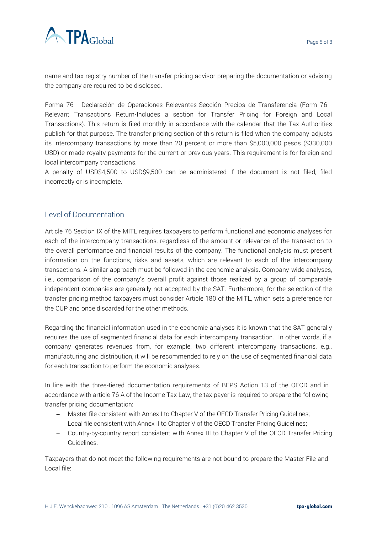

name and tax registry number of the transfer pricing advisor preparing the documentation or advising the company are required to be disclosed.

Forma 76 - Declaración de Operaciones Relevantes-Sección Precios de Transferencia (Form 76 - Relevant Transactions Return-Includes a section for Transfer Pricing for Foreign and Local Transactions). This return is filed monthly in accordance with the calendar that the Tax Authorities publish for that purpose. The transfer pricing section of this return is filed when the company adjusts its intercompany transactions by more than 20 percent or more than \$5,000,000 pesos (\$330,000 USD) or made royalty payments for the current or previous years. This requirement is for foreign and local intercompany transactions.

A penalty of USD\$4,500 to USD\$9,500 can be administered if the document is not filed, filed incorrectly or is incomplete.

#### Level of Documentation

Article 76 Section IX of the MITL requires taxpayers to perform functional and economic analyses for each of the intercompany transactions, regardless of the amount or relevance of the transaction to the overall performance and financial results of the company. The functional analysis must present information on the functions, risks and assets, which are relevant to each of the intercompany transactions. A similar approach must be followed in the economic analysis. Company-wide analyses, i.e., comparison of the company's overall profit against those realized by a group of comparable independent companies are generally not accepted by the SAT. Furthermore, for the selection of the transfer pricing method taxpayers must consider Article 180 of the MITL, which sets a preference for the CUP and once discarded for the other methods.

Regarding the financial information used in the economic analyses it is known that the SAT generally requires the use of segmented financial data for each intercompany transaction. In other words, if a company generates revenues from, for example, two different intercompany transactions, e.g., manufacturing and distribution, it will be recommended to rely on the use of segmented financial data for each transaction to perform the economic analyses.

In line with the three-tiered documentation requirements of BEPS Action 13 of the OECD and in accordance with article 76 A of the Income Tax Law, the tax payer is required to prepare the following transfer pricing documentation:

- − Master file consistent with Annex I to Chapter V of the OECD Transfer Pricing Guidelines;
- − Local file consistent with Annex II to Chapter V of the OECD Transfer Pricing Guidelines;
- − Country-by-country report consistent with Annex III to Chapter V of the OECD Transfer Pricing Guidelines.

Taxpayers that do not meet the following requirements are not bound to prepare the Master File and Local file: ‒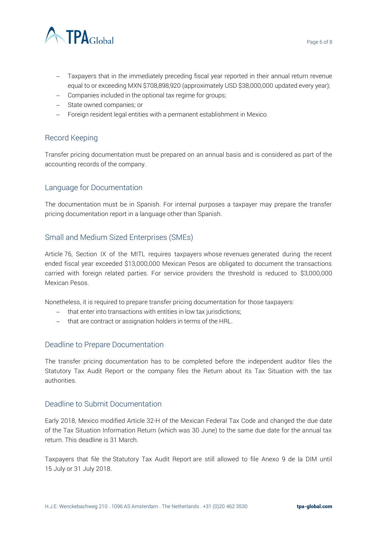

- Taxpayers that in the immediately preceding fiscal year reported in their annual return revenue equal to or exceeding MXN \$708,898,920 (approximately USD \$38,000,000 updated every year);
- − Companies included in the optional tax regime for groups;
- − State owned companies; or
- − Foreign resident legal entities with a permanent establishment in Mexico.

#### Record Keeping

Transfer pricing documentation must be prepared on an annual basis and is considered as part of the accounting records of the company.

#### Language for Documentation

The documentation must be in Spanish. For internal purposes a taxpayer may prepare the transfer pricing documentation report in a language other than Spanish.

#### Small and Medium Sized Enterprises (SMEs)

Article 76, Section IX of the MITL requires taxpayers whose revenues generated during the recent ended fiscal year exceeded \$13,000,000 Mexican Pesos are obligated to document the transactions carried with foreign related parties. For service providers the threshold is reduced to \$3,000,000 Mexican Pesos.

Nonetheless, it is required to prepare transfer pricing documentation for those taxpayers:

- − that enter into transactions with entities in low tax jurisdictions;
- − that are contract or assignation holders in terms of the HRL.

#### Deadline to Prepare Documentation

The transfer pricing documentation has to be completed before the independent auditor files the Statutory Tax Audit Report or the company files the Return about its Tax Situation with the tax authorities.

#### Deadline to Submit Documentation

Early 2018, Mexico modified Article 32-H of the Mexican Federal Tax Code and changed the due date of the Tax Situation Information Return (which was 30 June) to the same due date for the annual tax return. This deadline is 31 March.

Taxpayers that file the Statutory Tax Audit Report are still allowed to file Anexo 9 de la DIM until 15 July or 31 July 2018.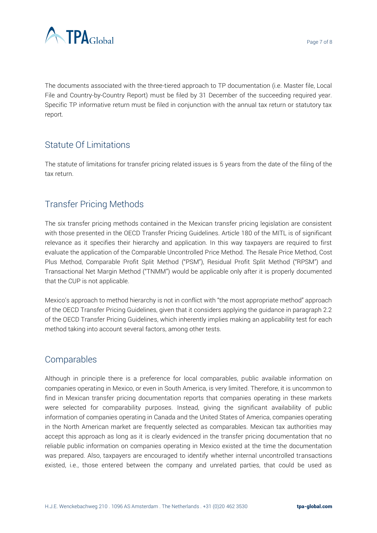



The documents associated with the three-tiered approach to TP documentation (i.e. Master file, Local File and Country-by-Country Report) must be filed by 31 December of the succeeding required year. Specific TP informative return must be filed in conjunction with the annual tax return or statutory tax report.

# Statute Of Limitations

The statute of limitations for transfer pricing related issues is 5 years from the date of the filing of the tax return.

# Transfer Pricing Methods

The six transfer pricing methods contained in the Mexican transfer pricing legislation are consistent with those presented in the OECD Transfer Pricing Guidelines. Article 180 of the MITL is of significant relevance as it specifies their hierarchy and application. In this way taxpayers are required to first evaluate the application of the Comparable Uncontrolled Price Method. The Resale Price Method, Cost Plus Method, Comparable Profit Split Method ("PSM"), Residual Profit Split Method ("RPSM") and Transactional Net Margin Method ("TNMM") would be applicable only after it is properly documented that the CUP is not applicable.

Mexico's approach to method hierarchy is not in conflict with "the most appropriate method" approach of the OECD Transfer Pricing Guidelines, given that it considers applying the guidance in paragraph 2.2 of the OECD Transfer Pricing Guidelines, which inherently implies making an applicability test for each method taking into account several factors, among other tests.

## **Comparables**

Although in principle there is a preference for local comparables, public available information on companies operating in Mexico, or even in South America, is very limited. Therefore, it is uncommon to find in Mexican transfer pricing documentation reports that companies operating in these markets were selected for comparability purposes. Instead, giving the significant availability of public information of companies operating in Canada and the United States of America, companies operating in the North American market are frequently selected as comparables. Mexican tax authorities may accept this approach as long as it is clearly evidenced in the transfer pricing documentation that no reliable public information on companies operating in Mexico existed at the time the documentation was prepared. Also, taxpayers are encouraged to identify whether internal uncontrolled transactions existed, i.e., those entered between the company and unrelated parties, that could be used as